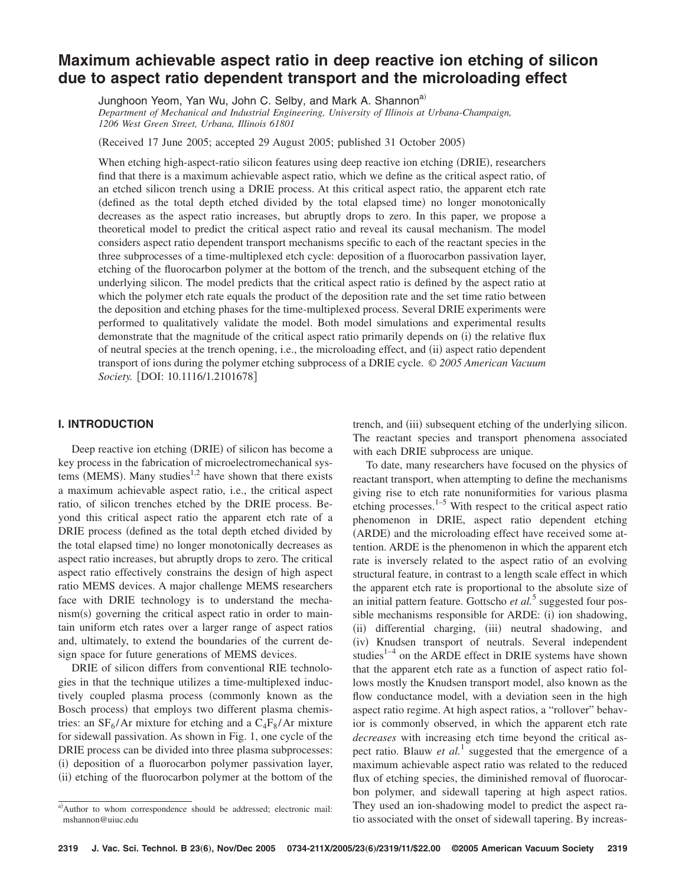# **Maximum achievable aspect ratio in deep reactive ion etching of silicon due to aspect ratio dependent transport and the microloading effect**

Junghoon Yeom, Yan Wu, John C. Selby, and Mark A. Shannon<sup>a)</sup> *Department of Mechanical and Industrial Engineering, University of Illinois at Urbana-Champaign, 1206 West Green Street, Urbana, Illinois 61801*

Received 17 June 2005; accepted 29 August 2005; published 31 October 2005-

When etching high-aspect-ratio silicon features using deep reactive ion etching (DRIE), researchers find that there is a maximum achievable aspect ratio, which we define as the critical aspect ratio, of an etched silicon trench using a DRIE process. At this critical aspect ratio, the apparent etch rate (defined as the total depth etched divided by the total elapsed time) no longer monotonically decreases as the aspect ratio increases, but abruptly drops to zero. In this paper, we propose a theoretical model to predict the critical aspect ratio and reveal its causal mechanism. The model considers aspect ratio dependent transport mechanisms specific to each of the reactant species in the three subprocesses of a time-multiplexed etch cycle: deposition of a fluorocarbon passivation layer, etching of the fluorocarbon polymer at the bottom of the trench, and the subsequent etching of the underlying silicon. The model predicts that the critical aspect ratio is defined by the aspect ratio at which the polymer etch rate equals the product of the deposition rate and the set time ratio between the deposition and etching phases for the time-multiplexed process. Several DRIE experiments were performed to qualitatively validate the model. Both model simulations and experimental results demonstrate that the magnitude of the critical aspect ratio primarily depends on (i) the relative flux of neutral species at the trench opening, i.e., the microloading effect, and (ii) aspect ratio dependent transport of ions during the polymer etching subprocess of a DRIE cycle. *© 2005 American Vacuum Society.* [DOI: 10.1116/1.2101678]

## **I. INTRODUCTION**

Deep reactive ion etching (DRIE) of silicon has become a key process in the fabrication of microelectromechanical systems (MEMS). Many studies<sup>1,2</sup> have shown that there exists a maximum achievable aspect ratio, i.e., the critical aspect ratio, of silicon trenches etched by the DRIE process. Beyond this critical aspect ratio the apparent etch rate of a DRIE process defined as the total depth etched divided by the total elapsed time) no longer monotonically decreases as aspect ratio increases, but abruptly drops to zero. The critical aspect ratio effectively constrains the design of high aspect ratio MEMS devices. A major challenge MEMS researchers face with DRIE technology is to understand the mechanism(s) governing the critical aspect ratio in order to maintain uniform etch rates over a larger range of aspect ratios and, ultimately, to extend the boundaries of the current design space for future generations of MEMS devices.

DRIE of silicon differs from conventional RIE technologies in that the technique utilizes a time-multiplexed inductively coupled plasma process (commonly known as the Bosch process) that employs two different plasma chemistries: an  $SF_6/Ar$  mixture for etching and a  $C_4F_8/Ar$  mixture for sidewall passivation. As shown in Fig. 1, one cycle of the DRIE process can be divided into three plasma subprocesses: (i) deposition of a fluorocarbon polymer passivation layer, (ii) etching of the fluorocarbon polymer at the bottom of the

trench, and (iii) subsequent etching of the underlying silicon. The reactant species and transport phenomena associated with each DRIE subprocess are unique.

To date, many researchers have focused on the physics of reactant transport, when attempting to define the mechanisms giving rise to etch rate nonuniformities for various plasma etching processes.<sup>1–5</sup> With respect to the critical aspect ratio phenomenon in DRIE, aspect ratio dependent etching (ARDE) and the microloading effect have received some attention. ARDE is the phenomenon in which the apparent etch rate is inversely related to the aspect ratio of an evolving structural feature, in contrast to a length scale effect in which the apparent etch rate is proportional to the absolute size of an initial pattern feature. Gottscho *et al.*<sup>5</sup> suggested four possible mechanisms responsible for ARDE: (i) ion shadowing, (ii) differential charging, (iii) neutral shadowing, and (iv) Knudsen transport of neutrals. Several independent studies<sup> $1-4$ </sup> on the ARDE effect in DRIE systems have shown that the apparent etch rate as a function of aspect ratio follows mostly the Knudsen transport model, also known as the flow conductance model, with a deviation seen in the high aspect ratio regime. At high aspect ratios, a "rollover" behavior is commonly observed, in which the apparent etch rate *decreases* with increasing etch time beyond the critical aspect ratio. Blauw *et al.*<sup>1</sup> suggested that the emergence of a maximum achievable aspect ratio was related to the reduced flux of etching species, the diminished removal of fluorocarbon polymer, and sidewall tapering at high aspect ratios. They used an ion-shadowing model to predict the aspect ratio associated with the onset of sidewall tapering. By increas-

a) Author to whom correspondence should be addressed; electronic mail: mshannon@uiuc.edu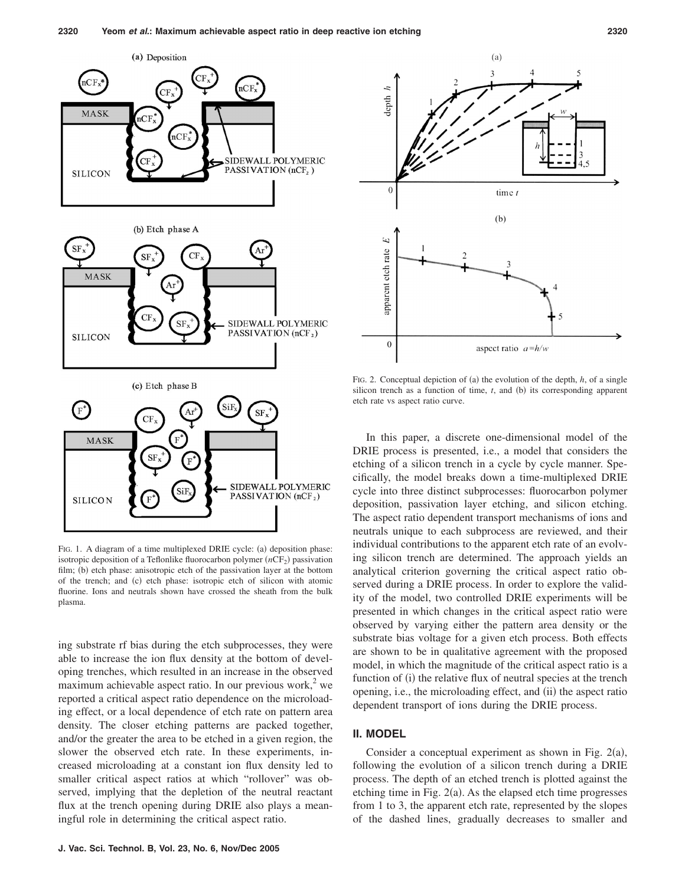

FIG. 1. A diagram of a time multiplexed DRIE cycle: (a) deposition phase: isotropic deposition of a Teflonlike fluorocarbon polymer (nCF<sub>2</sub>) passivation film; (b) etch phase: anisotropic etch of the passivation layer at the bottom of the trench; and (c) etch phase: isotropic etch of silicon with atomic fluorine. Ions and neutrals shown have crossed the sheath from the bulk plasma.

ing substrate rf bias during the etch subprocesses, they were able to increase the ion flux density at the bottom of developing trenches, which resulted in an increase in the observed maximum achievable aspect ratio. In our previous work, $2$  we reported a critical aspect ratio dependence on the microloading effect, or a local dependence of etch rate on pattern area density. The closer etching patterns are packed together, and/or the greater the area to be etched in a given region, the slower the observed etch rate. In these experiments, increased microloading at a constant ion flux density led to smaller critical aspect ratios at which "rollover" was observed, implying that the depletion of the neutral reactant flux at the trench opening during DRIE also plays a meaningful role in determining the critical aspect ratio.



FIG. 2. Conceptual depiction of (a) the evolution of the depth, *h*, of a single silicon trench as a function of time,  $t$ , and  $(b)$  its corresponding apparent etch rate vs aspect ratio curve.

In this paper, a discrete one-dimensional model of the DRIE process is presented, i.e., a model that considers the etching of a silicon trench in a cycle by cycle manner. Specifically, the model breaks down a time-multiplexed DRIE cycle into three distinct subprocesses: fluorocarbon polymer deposition, passivation layer etching, and silicon etching. The aspect ratio dependent transport mechanisms of ions and neutrals unique to each subprocess are reviewed, and their individual contributions to the apparent etch rate of an evolving silicon trench are determined. The approach yields an analytical criterion governing the critical aspect ratio observed during a DRIE process. In order to explore the validity of the model, two controlled DRIE experiments will be presented in which changes in the critical aspect ratio were observed by varying either the pattern area density or the substrate bias voltage for a given etch process. Both effects are shown to be in qualitative agreement with the proposed model, in which the magnitude of the critical aspect ratio is a function of (i) the relative flux of neutral species at the trench opening, i.e., the microloading effect, and (ii) the aspect ratio dependent transport of ions during the DRIE process.

### **II. MODEL**

Consider a conceptual experiment as shown in Fig.  $2(a)$ , following the evolution of a silicon trench during a DRIE process. The depth of an etched trench is plotted against the etching time in Fig. 2(a). As the elapsed etch time progresses from 1 to 3, the apparent etch rate, represented by the slopes of the dashed lines, gradually decreases to smaller and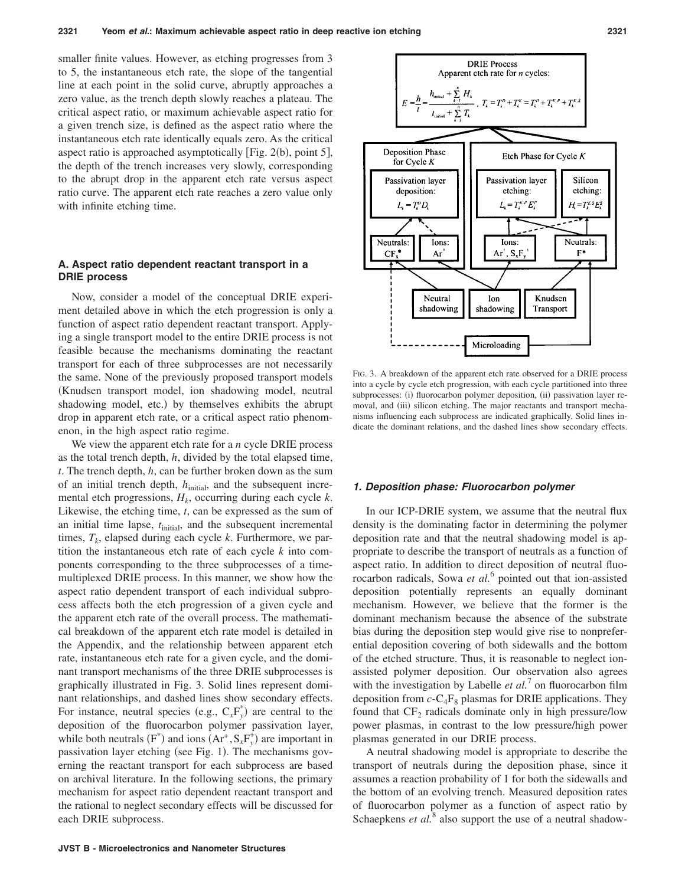smaller finite values. However, as etching progresses from 3 to 5, the instantaneous etch rate, the slope of the tangential line at each point in the solid curve, abruptly approaches a zero value, as the trench depth slowly reaches a plateau. The critical aspect ratio, or maximum achievable aspect ratio for a given trench size, is defined as the aspect ratio where the instantaneous etch rate identically equals zero. As the critical aspect ratio is approached asymptotically [Fig.  $2(b)$ , point 5], the depth of the trench increases very slowly, corresponding to the abrupt drop in the apparent etch rate versus aspect ratio curve. The apparent etch rate reaches a zero value only with infinite etching time.

### **A. Aspect ratio dependent reactant transport in a DRIE process**

Now, consider a model of the conceptual DRIE experiment detailed above in which the etch progression is only a function of aspect ratio dependent reactant transport. Applying a single transport model to the entire DRIE process is not feasible because the mechanisms dominating the reactant transport for each of three subprocesses are not necessarily the same. None of the previously proposed transport models Knudsen transport model, ion shadowing model, neutral shadowing model, etc.) by themselves exhibits the abrupt drop in apparent etch rate, or a critical aspect ratio phenomenon, in the high aspect ratio regime.

We view the apparent etch rate for a *n* cycle DRIE process as the total trench depth, *h*, divided by the total elapsed time, *t*. The trench depth, *h*, can be further broken down as the sum of an initial trench depth,  $h_{initial}$ , and the subsequent incremental etch progressions,  $H_k$ , occurring during each cycle  $k$ . Likewise, the etching time, *t*, can be expressed as the sum of an initial time lapse,  $t<sub>initial</sub>$ , and the subsequent incremental times,  $T_k$ , elapsed during each cycle  $k$ . Furthermore, we partition the instantaneous etch rate of each cycle *k* into components corresponding to the three subprocesses of a timemultiplexed DRIE process. In this manner, we show how the aspect ratio dependent transport of each individual subprocess affects both the etch progression of a given cycle and the apparent etch rate of the overall process. The mathematical breakdown of the apparent etch rate model is detailed in the Appendix, and the relationship between apparent etch rate, instantaneous etch rate for a given cycle, and the dominant transport mechanisms of the three DRIE subprocesses is graphically illustrated in Fig. 3. Solid lines represent dominant relationships, and dashed lines show secondary effects. For instance, neutral species (e.g.,  $C_xF_y^*$ ) are central to the deposition of the fluorocarbon polymer passivation layer, while both neutrals  $(F^*)$  and ions  $(Ar^+, S_xF_y^+)$  are important in passivation layer etching (see Fig. 1). The mechanisms governing the reactant transport for each subprocess are based on archival literature. In the following sections, the primary mechanism for aspect ratio dependent reactant transport and the rational to neglect secondary effects will be discussed for each DRIE subprocess.



FIG. 3. A breakdown of the apparent etch rate observed for a DRIE process into a cycle by cycle etch progression, with each cycle partitioned into three subprocesses: (i) fluorocarbon polymer deposition, (ii) passivation layer removal, and (iii) silicon etching. The major reactants and transport mechanisms influencing each subprocess are indicated graphically. Solid lines indicate the dominant relations, and the dashed lines show secondary effects.

### *1. Deposition phase: Fluorocarbon polymer*

In our ICP-DRIE system, we assume that the neutral flux density is the dominating factor in determining the polymer deposition rate and that the neutral shadowing model is appropriate to describe the transport of neutrals as a function of aspect ratio. In addition to direct deposition of neutral fluorocarbon radicals, Sowa *et al.*<sup>6</sup> pointed out that ion-assisted deposition potentially represents an equally dominant mechanism. However, we believe that the former is the dominant mechanism because the absence of the substrate bias during the deposition step would give rise to nonpreferential deposition covering of both sidewalls and the bottom of the etched structure. Thus, it is reasonable to neglect ionassisted polymer deposition. Our observation also agrees with the investigation by Labelle  $et al.<sup>7</sup>$  on fluorocarbon film deposition from  $c - C_4F_8$  plasmas for DRIE applications. They found that  $CF_2$  radicals dominate only in high pressure/low power plasmas, in contrast to the low pressure/high power plasmas generated in our DRIE process.

A neutral shadowing model is appropriate to describe the transport of neutrals during the deposition phase, since it assumes a reaction probability of 1 for both the sidewalls and the bottom of an evolving trench. Measured deposition rates of fluorocarbon polymer as a function of aspect ratio by Schaepkens *et al.*<sup>8</sup> also support the use of a neutral shadow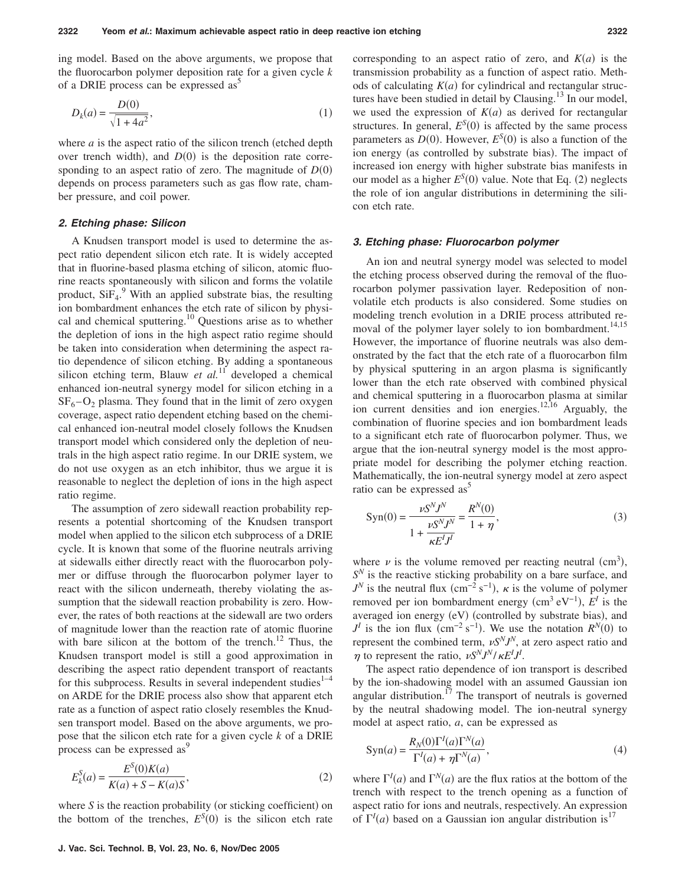ing model. Based on the above arguments, we propose that the fluorocarbon polymer deposition rate for a given cycle *k* of a DRIE process can be expressed as<sup>5</sup>

$$
D_k(a) = \frac{D(0)}{\sqrt{1 + 4a^2}},\tag{1}
$$

where  $a$  is the aspect ratio of the silicon trench (etched depth over trench width), and  $D(0)$  is the deposition rate corresponding to an aspect ratio of zero. The magnitude of  $D(0)$ depends on process parameters such as gas flow rate, chamber pressure, and coil power.

#### *2. Etching phase: Silicon*

A Knudsen transport model is used to determine the aspect ratio dependent silicon etch rate. It is widely accepted that in fluorine-based plasma etching of silicon, atomic fluorine reacts spontaneously with silicon and forms the volatile product,  $\overline{\text{SiF}_4}$ <sup>9</sup> With an applied substrate bias, the resulting ion bombardment enhances the etch rate of silicon by physical and chemical sputtering.<sup>10</sup> Questions arise as to whether the depletion of ions in the high aspect ratio regime should be taken into consideration when determining the aspect ratio dependence of silicon etching. By adding a spontaneous silicon etching term, Blauw et al.<sup>11</sup> developed a chemical enhanced ion-neutral synergy model for silicon etching in a  $SF_6-O_2$  plasma. They found that in the limit of zero oxygen coverage, aspect ratio dependent etching based on the chemical enhanced ion-neutral model closely follows the Knudsen transport model which considered only the depletion of neutrals in the high aspect ratio regime. In our DRIE system, we do not use oxygen as an etch inhibitor, thus we argue it is reasonable to neglect the depletion of ions in the high aspect ratio regime.

The assumption of zero sidewall reaction probability represents a potential shortcoming of the Knudsen transport model when applied to the silicon etch subprocess of a DRIE cycle. It is known that some of the fluorine neutrals arriving at sidewalls either directly react with the fluorocarbon polymer or diffuse through the fluorocarbon polymer layer to react with the silicon underneath, thereby violating the assumption that the sidewall reaction probability is zero. However, the rates of both reactions at the sidewall are two orders of magnitude lower than the reaction rate of atomic fluorine with bare silicon at the bottom of the trench.<sup>12</sup> Thus, the Knudsen transport model is still a good approximation in describing the aspect ratio dependent transport of reactants for this subprocess. Results in several independent studies $1-4$ on ARDE for the DRIE process also show that apparent etch rate as a function of aspect ratio closely resembles the Knudsen transport model. Based on the above arguments, we propose that the silicon etch rate for a given cycle *k* of a DRIE process can be expressed as<sup>9</sup>

$$
E_k^S(a) = \frac{E^S(0)K(a)}{K(a) + S - K(a)S},
$$
\n(2)

where  $S$  is the reaction probability (or sticking coefficient) on the bottom of the trenches,  $E^{S}(0)$  is the silicon etch rate

corresponding to an aspect ratio of zero, and  $K(a)$  is the transmission probability as a function of aspect ratio. Methods of calculating  $K(a)$  for cylindrical and rectangular structures have been studied in detail by Clausing. $^{13}$  In our model, we used the expression of  $K(a)$  as derived for rectangular structures. In general,  $E^{S}(0)$  is affected by the same process parameters as  $D(0)$ . However,  $E^{S}(0)$  is also a function of the ion energy (as controlled by substrate bias). The impact of increased ion energy with higher substrate bias manifests in our model as a higher  $E^{S}(0)$  value. Note that Eq. (2) neglects the role of ion angular distributions in determining the silicon etch rate.

#### *3. Etching phase: Fluorocarbon polymer*

An ion and neutral synergy model was selected to model the etching process observed during the removal of the fluorocarbon polymer passivation layer. Redeposition of nonvolatile etch products is also considered. Some studies on modeling trench evolution in a DRIE process attributed removal of the polymer layer solely to ion bombardment.<sup>14,15</sup> However, the importance of fluorine neutrals was also demonstrated by the fact that the etch rate of a fluorocarbon film by physical sputtering in an argon plasma is significantly lower than the etch rate observed with combined physical and chemical sputtering in a fluorocarbon plasma at similar ion current densities and ion energies.<sup>12,16</sup> Arguably, the combination of fluorine species and ion bombardment leads to a significant etch rate of fluorocarbon polymer. Thus, we argue that the ion-neutral synergy model is the most appropriate model for describing the polymer etching reaction. Mathematically, the ion-neutral synergy model at zero aspect ratio can be expressed as<sup>3</sup>

$$
Syn(0) = \frac{\nu S^N J^N}{1 + \frac{\nu S^N J^N}{\kappa E^{\prime} J^{\prime}}} = \frac{R^N(0)}{1 + \eta},
$$
\n(3)

where  $\nu$  is the volume removed per reacting neutral (cm<sup>3</sup>), *S<sup>N</sup>* is the reactive sticking probability on a bare surface, and  $J<sup>N</sup>$  is the neutral flux (cm<sup>-2</sup> s<sup>-1</sup>),  $\kappa$  is the volume of polymer removed per ion bombardment energy (cm<sup>3</sup> eV<sup>-1</sup>), *E<sup>I</sup>* is the averaged ion energy (eV) (controlled by substrate bias), and  $J<sup>I</sup>$  is the ion flux (cm<sup>-2</sup> s<sup>-1</sup>). We use the notation  $R<sup>N</sup>(0)$  to represent the combined term,  $\nu S^N J^N$ , at zero aspect ratio and  $\eta$  to represent the ratio,  $vS^N J^N / \kappa E^I J^I$ .

The aspect ratio dependence of ion transport is described by the ion-shadowing model with an assumed Gaussian ion angular distribution.<sup>17</sup> The transport of neutrals is governed by the neutral shadowing model. The ion-neutral synergy model at aspect ratio, *a*, can be expressed as

$$
Syn(a) = \frac{R_N(0)\Gamma^I(a)\Gamma^N(a)}{\Gamma^I(a) + \eta \Gamma^N(a)},
$$
\n(4)

where  $\Gamma^I(a)$  and  $\Gamma^N(a)$  are the flux ratios at the bottom of the trench with respect to the trench opening as a function of aspect ratio for ions and neutrals, respectively. An expression of  $\Gamma^I(a)$  based on a Gaussian ion angular distribution is<sup>17</sup>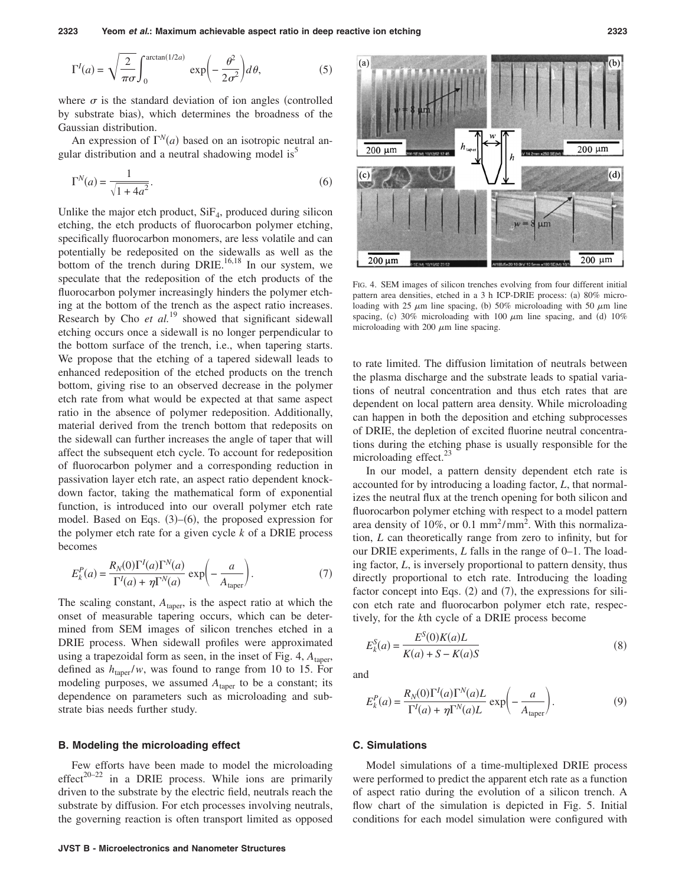$$
\Gamma^{I}(a) = \sqrt{\frac{2}{\pi\sigma}} \int_0^{\arctan(1/2a)} \exp\left(-\frac{\theta^2}{2\sigma^2}\right) d\theta,\tag{5}
$$

where  $\sigma$  is the standard deviation of ion angles (controlled by substrate bias), which determines the broadness of the Gaussian distribution.

An expression of  $\Gamma^{N}(a)$  based on an isotropic neutral angular distribution and a neutral shadowing model is $5$ 

$$
\Gamma^{N}(a) = \frac{1}{\sqrt{1 + 4a^2}}.\tag{6}
$$

Unlike the major etch product,  $SiF<sub>4</sub>$ , produced during silicon etching, the etch products of fluorocarbon polymer etching, specifically fluorocarbon monomers, are less volatile and can potentially be redeposited on the sidewalls as well as the bottom of the trench during DRIE.<sup>16,18</sup> In our system, we speculate that the redeposition of the etch products of the fluorocarbon polymer increasingly hinders the polymer etching at the bottom of the trench as the aspect ratio increases. Research by Cho *et al.*<sup>19</sup> showed that significant sidewall etching occurs once a sidewall is no longer perpendicular to the bottom surface of the trench, i.e., when tapering starts. We propose that the etching of a tapered sidewall leads to enhanced redeposition of the etched products on the trench bottom, giving rise to an observed decrease in the polymer etch rate from what would be expected at that same aspect ratio in the absence of polymer redeposition. Additionally, material derived from the trench bottom that redeposits on the sidewall can further increases the angle of taper that will affect the subsequent etch cycle. To account for redeposition of fluorocarbon polymer and a corresponding reduction in passivation layer etch rate, an aspect ratio dependent knockdown factor, taking the mathematical form of exponential function, is introduced into our overall polymer etch rate model. Based on Eqs. (3)–(6), the proposed expression for the polymer etch rate for a given cycle *k* of a DRIE process becomes

$$
E_k^P(a) = \frac{R_N(0)\Gamma^I(a)\Gamma^N(a)}{\Gamma^I(a) + \eta \Gamma^N(a)} \exp\left(-\frac{a}{A_{\text{taper}}}\right).
$$
 (7)

The scaling constant,  $A_{\text{taper}}$ , is the aspect ratio at which the onset of measurable tapering occurs, which can be determined from SEM images of silicon trenches etched in a DRIE process. When sidewall profiles were approximated using a trapezoidal form as seen, in the inset of Fig. 4,  $A_{\text{taper}}$ , defined as  $h_{\text{taper}}/w$ , was found to range from 10 to 15. For modeling purposes, we assumed  $A<sub>taper</sub>$  to be a constant; its dependence on parameters such as microloading and substrate bias needs further study.

#### **B. Modeling the microloading effect**

Few efforts have been made to model the microloading effect<sup>20–22</sup> in a DRIE process. While ions are primarily driven to the substrate by the electric field, neutrals reach the substrate by diffusion. For etch processes involving neutrals, the governing reaction is often transport limited as opposed



FIG. 4. SEM images of silicon trenches evolving from four different initial pattern area densities, etched in a 3 h ICP-DRIE process: (a) 80% microloading with 25  $\mu$ m line spacing, (b) 50% microloading with 50  $\mu$ m line spacing, (c) 30% microloading with 100  $\mu$ m line spacing, and (d) 10% microloading with 200  $\mu$ m line spacing.

to rate limited. The diffusion limitation of neutrals between the plasma discharge and the substrate leads to spatial variations of neutral concentration and thus etch rates that are dependent on local pattern area density. While microloading can happen in both the deposition and etching subprocesses of DRIE, the depletion of excited fluorine neutral concentrations during the etching phase is usually responsible for the microloading effect. $^{23}$ 

In our model, a pattern density dependent etch rate is accounted for by introducing a loading factor, *L*, that normalizes the neutral flux at the trench opening for both silicon and fluorocarbon polymer etching with respect to a model pattern area density of  $10\%$ , or 0.1 mm<sup>2</sup>/mm<sup>2</sup>. With this normalization, *L* can theoretically range from zero to infinity, but for our DRIE experiments, *L* falls in the range of 0–1. The loading factor, *L*, is inversely proportional to pattern density, thus directly proportional to etch rate. Introducing the loading factor concept into Eqs.  $(2)$  and  $(7)$ , the expressions for silicon etch rate and fluorocarbon polymer etch rate, respectively, for the *k*th cycle of a DRIE process become

$$
E_k^S(a) = \frac{E^S(0)K(a)L}{K(a) + S - K(a)S}
$$
\n(8)

and

$$
E_k^P(a) = \frac{R_N(0)\Gamma^I(a)\Gamma^N(a)L}{\Gamma^I(a) + \eta \Gamma^N(a)L} \exp\left(-\frac{a}{A_{\text{taper}}}\right).
$$
 (9)

#### **C. Simulations**

Model simulations of a time-multiplexed DRIE process were performed to predict the apparent etch rate as a function of aspect ratio during the evolution of a silicon trench. A flow chart of the simulation is depicted in Fig. 5. Initial conditions for each model simulation were configured with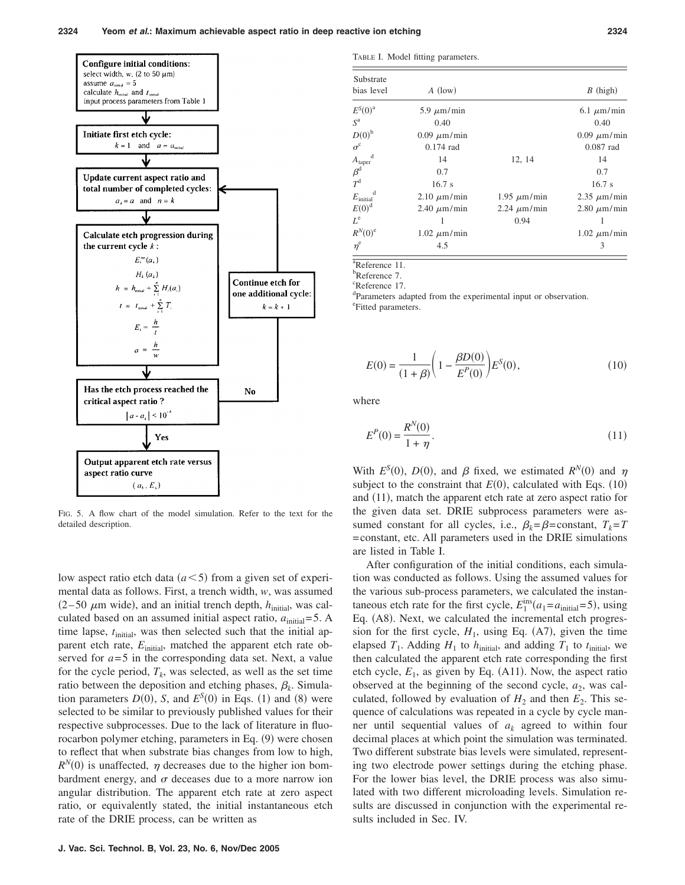

FIG. 5. A flow chart of the model simulation. Refer to the text for the detailed description.

low aspect ratio etch data  $(a < 5)$  from a given set of experimental data as follows. First, a trench width, *w*, was assumed  $(2-50 \mu m$  wide), and an initial trench depth,  $h_{initial}$ , was calculated based on an assumed initial aspect ratio,  $a<sub>initial</sub> = 5$ . A time lapse,  $t<sub>initial</sub>$ , was then selected such that the initial apparent etch rate,  $E_{initial}$ , matched the apparent etch rate observed for  $a = 5$  in the corresponding data set. Next, a value for the cycle period,  $T_k$ , was selected, as well as the set time ratio between the deposition and etching phases,  $\beta_k$ . Simulation parameters  $D(0)$ , *S*, and  $E^{S}(0)$  in Eqs. (1) and (8) were selected to be similar to previously published values for their respective subprocesses. Due to the lack of literature in fluorocarbon polymer etching, parameters in Eq. (9) were chosen to reflect that when substrate bias changes from low to high,  $R<sup>N</sup>(0)$  is unaffected,  $\eta$  decreases due to the higher ion bombardment energy, and  $\sigma$  deceases due to a more narrow ion angular distribution. The apparent etch rate at zero aspect ratio, or equivalently stated, the initial instantaneous etch rate of the DRIE process, can be written as

TABLE I. Model fitting parameters.

| Substrate                                                  |                    |                  |                    |
|------------------------------------------------------------|--------------------|------------------|--------------------|
| bias level                                                 | $A$ (low)          |                  | $B$ (high)         |
| $E^{S}(0)^{a}$                                             | 5.9 $\mu$ m/min    |                  | 6.1 $\mu$ m/min    |
| $S^a$                                                      | 0.40               |                  | 0.40               |
| $D(0)^{\rm b}$                                             | $0.09 \ \mu m/min$ |                  | $0.09 \ \mu m/min$ |
| $\sigma^{\rm c}$                                           | $0.174$ rad        |                  | $0.087$ rad        |
|                                                            | 14                 | 12, 14           | 14                 |
| $A_{\text{taper}}$<br>$\beta^{\text{d}}$<br>$T^{\text{d}}$ | 0.7                |                  | 0.7                |
|                                                            | 16.7 s             |                  | 16.7s              |
| $E_{\rm initial}^{d}$                                      | $2.10 \mu m/min$   | $1.95 \mu m/min$ | $2.35 \mu m/min$   |
| $E(0)^d$                                                   | $2.40 \mu m/min$   | $2.24 \mu m/min$ | $2.80 \mu m/min$   |
| $L^e$                                                      | 1                  | 0.94             | 1                  |
| $R^N(0)^e$                                                 | $1.02 \ \mu m/min$ |                  | $1.02 \ \mu m/min$ |
| $\eta^{\text{e}}$                                          | 4.5                |                  | 3                  |

<sup>a</sup>Reference 11.

<sup>b</sup>Reference 7.

<sup>c</sup>Reference 17.

<sup>d</sup>Parameters adapted from the experimental input or observation. e Fitted parameters.

$$
E(0) = \frac{1}{(1+\beta)} \left( 1 - \frac{\beta D(0)}{E^{P}(0)} \right) E^{S}(0), \tag{10}
$$

where

$$
E^{P}(0) = \frac{R^{N}(0)}{1 + \eta}.
$$
\n(11)

With  $E^{S}(0)$ ,  $D(0)$ , and  $\beta$  fixed, we estimated  $R^{N}(0)$  and  $\eta$ subject to the constraint that  $E(0)$ , calculated with Eqs.  $(10)$ and (11), match the apparent etch rate at zero aspect ratio for the given data set. DRIE subprocess parameters were assumed constant for all cycles, i.e.,  $\beta_k = \beta = \text{constant}, T_k = T$ =constant, etc. All parameters used in the DRIE simulations are listed in Table I.

After configuration of the initial conditions, each simulation was conducted as follows. Using the assumed values for the various sub-process parameters, we calculated the instantaneous etch rate for the first cycle,  $E_1^{\text{ins}}(a_1 = a_{\text{initial}} = 5)$ , using Eq. (A8). Next, we calculated the incremental etch progression for the first cycle,  $H_1$ , using Eq. (A7), given the time elapsed  $T_1$ . Adding  $H_1$  to  $h_{initial}$ , and adding  $T_1$  to  $t_{initial}$ , we then calculated the apparent etch rate corresponding the first etch cycle,  $E_1$ , as given by Eq. (A11). Now, the aspect ratio observed at the beginning of the second cycle,  $a_2$ , was calculated, followed by evaluation of  $H_2$  and then  $E_2$ . This sequence of calculations was repeated in a cycle by cycle manner until sequential values of *ak* agreed to within four decimal places at which point the simulation was terminated. Two different substrate bias levels were simulated, representing two electrode power settings during the etching phase. For the lower bias level, the DRIE process was also simulated with two different microloading levels. Simulation results are discussed in conjunction with the experimental results included in Sec. IV.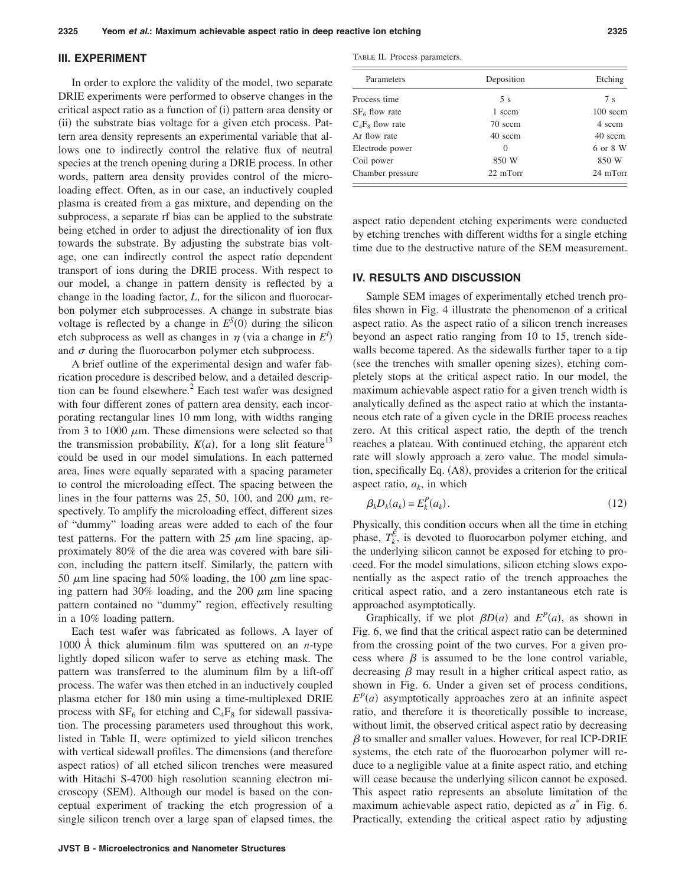### **III. EXPERIMENT**

In order to explore the validity of the model, two separate DRIE experiments were performed to observe changes in the critical aspect ratio as a function of (i) pattern area density or (ii) the substrate bias voltage for a given etch process. Pattern area density represents an experimental variable that allows one to indirectly control the relative flux of neutral species at the trench opening during a DRIE process. In other words, pattern area density provides control of the microloading effect. Often, as in our case, an inductively coupled plasma is created from a gas mixture, and depending on the subprocess, a separate rf bias can be applied to the substrate being etched in order to adjust the directionality of ion flux towards the substrate. By adjusting the substrate bias voltage, one can indirectly control the aspect ratio dependent transport of ions during the DRIE process. With respect to our model, a change in pattern density is reflected by a change in the loading factor, *L*, for the silicon and fluorocarbon polymer etch subprocesses. A change in substrate bias voltage is reflected by a change in  $E^{S}(0)$  during the silicon etch subprocess as well as changes in  $\eta$  (via a change in  $E^I$ ) and  $\sigma$  during the fluorocarbon polymer etch subprocess.

A brief outline of the experimental design and wafer fabrication procedure is described below, and a detailed description can be found elsewhere. $2$  Each test wafer was designed with four different zones of pattern area density, each incorporating rectangular lines 10 mm long, with widths ranging from 3 to 1000  $\mu$ m. These dimensions were selected so that the transmission probability,  $K(a)$ , for a long slit feature<sup>13</sup> could be used in our model simulations. In each patterned area, lines were equally separated with a spacing parameter to control the microloading effect. The spacing between the lines in the four patterns was 25, 50, 100, and 200  $\mu$ m, respectively. To amplify the microloading effect, different sizes of "dummy" loading areas were added to each of the four test patterns. For the pattern with  $25 \mu m$  line spacing, approximately 80% of the die area was covered with bare silicon, including the pattern itself. Similarly, the pattern with 50  $\mu$ m line spacing had 50% loading, the 100  $\mu$ m line spacing pattern had 30% loading, and the 200  $\mu$ m line spacing pattern contained no "dummy" region, effectively resulting in a 10% loading pattern.

Each test wafer was fabricated as follows. A layer of 1000 Å thick aluminum film was sputtered on an *n*-type lightly doped silicon wafer to serve as etching mask. The pattern was transferred to the aluminum film by a lift-off process. The wafer was then etched in an inductively coupled plasma etcher for 180 min using a time-multiplexed DRIE process with  $SF_6$  for etching and  $C_4F_8$  for sidewall passivation. The processing parameters used throughout this work, listed in Table II, were optimized to yield silicon trenches with vertical sidewall profiles. The dimensions (and therefore aspect ratios) of all etched silicon trenches were measured with Hitachi S-4700 high resolution scanning electron microscopy (SEM). Although our model is based on the conceptual experiment of tracking the etch progression of a single silicon trench over a large span of elapsed times, the

TABLE II. Process parameters.

| Parameters         | Deposition | Etching    |
|--------------------|------------|------------|
| Process time       | 5s         | 7 s        |
| $SF6$ flow rate    | 1 sccm     | $100$ sccm |
| $C_4F_8$ flow rate | 70 sccm    | 4 sccm     |
| Ar flow rate       | 40 sccm    | 40 sccm    |
| Electrode power    | $\Omega$   | 6 or 8 W   |
| Coil power         | 850 W      | 850 W      |
| Chamber pressure   | 22 mTorr   | 24 mTorr   |

aspect ratio dependent etching experiments were conducted by etching trenches with different widths for a single etching time due to the destructive nature of the SEM measurement.

## **IV. RESULTS AND DISCUSSION**

Sample SEM images of experimentally etched trench profiles shown in Fig. 4 illustrate the phenomenon of a critical aspect ratio. As the aspect ratio of a silicon trench increases beyond an aspect ratio ranging from 10 to 15, trench sidewalls become tapered. As the sidewalls further taper to a tip (see the trenches with smaller opening sizes), etching completely stops at the critical aspect ratio. In our model, the maximum achievable aspect ratio for a given trench width is analytically defined as the aspect ratio at which the instantaneous etch rate of a given cycle in the DRIE process reaches zero. At this critical aspect ratio, the depth of the trench reaches a plateau. With continued etching, the apparent etch rate will slowly approach a zero value. The model simulation, specifically Eq. (A8), provides a criterion for the critical aspect ratio,  $a_k$ , in which

$$
\beta_k D_k(a_k) = E_k^P(a_k). \tag{12}
$$

Physically, this condition occurs when all the time in etching phase,  $T_k^E$ , is devoted to fluorocarbon polymer etching, and the underlying silicon cannot be exposed for etching to proceed. For the model simulations, silicon etching slows exponentially as the aspect ratio of the trench approaches the critical aspect ratio, and a zero instantaneous etch rate is approached asymptotically.

Graphically, if we plot  $\beta D(a)$  and  $E^P(a)$ , as shown in Fig. 6, we find that the critical aspect ratio can be determined from the crossing point of the two curves. For a given process where  $\beta$  is assumed to be the lone control variable, decreasing  $\beta$  may result in a higher critical aspect ratio, as shown in Fig. 6. Under a given set of process conditions,  $E^P(a)$  asymptotically approaches zero at an infinite aspect ratio, and therefore it is theoretically possible to increase, without limit, the observed critical aspect ratio by decreasing  $\beta$  to smaller and smaller values. However, for real ICP-DRIE systems, the etch rate of the fluorocarbon polymer will reduce to a negligible value at a finite aspect ratio, and etching will cease because the underlying silicon cannot be exposed. This aspect ratio represents an absolute limitation of the maximum achievable aspect ratio, depicted as *a*\* in Fig. 6. Practically, extending the critical aspect ratio by adjusting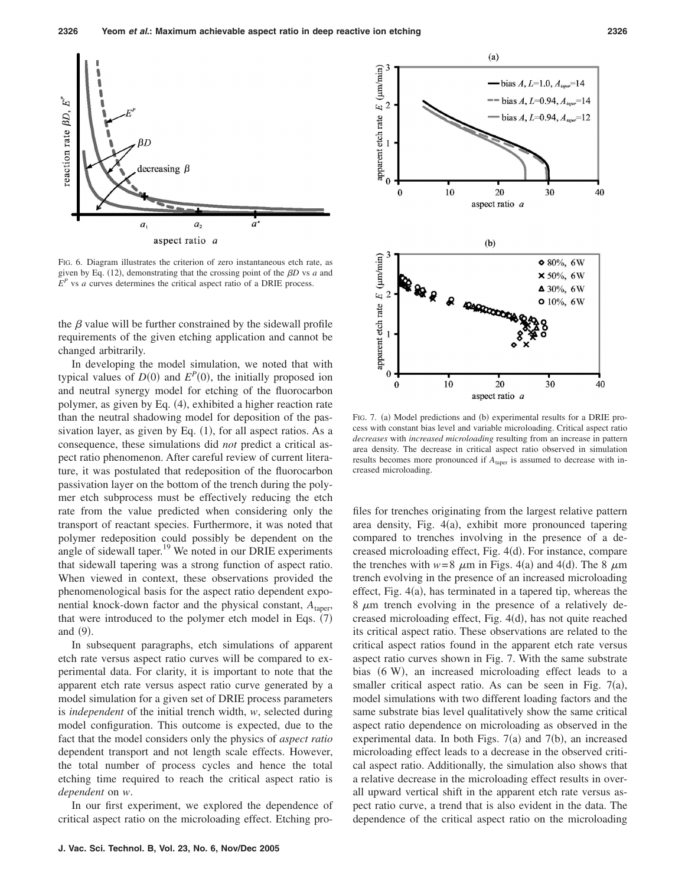

FIG. 6. Diagram illustrates the criterion of zero instantaneous etch rate, as given by Eq.  $(12)$ , demonstrating that the crossing point of the  $\beta D$  vs *a* and  $E<sup>P</sup>$  vs *a* curves determines the critical aspect ratio of a DRIE process.

the  $\beta$  value will be further constrained by the sidewall profile requirements of the given etching application and cannot be changed arbitrarily.

In developing the model simulation, we noted that with typical values of  $D(0)$  and  $E^P(0)$ , the initially proposed ion and neutral synergy model for etching of the fluorocarbon polymer, as given by Eq. (4), exhibited a higher reaction rate than the neutral shadowing model for deposition of the passivation layer, as given by Eq. (1), for all aspect ratios. As a consequence, these simulations did *not* predict a critical aspect ratio phenomenon. After careful review of current literature, it was postulated that redeposition of the fluorocarbon passivation layer on the bottom of the trench during the polymer etch subprocess must be effectively reducing the etch rate from the value predicted when considering only the transport of reactant species. Furthermore, it was noted that polymer redeposition could possibly be dependent on the angle of sidewall taper.<sup>19</sup> We noted in our DRIE experiments that sidewall tapering was a strong function of aspect ratio. When viewed in context, these observations provided the phenomenological basis for the aspect ratio dependent exponential knock-down factor and the physical constant,  $A_{\text{taper}}$ , that were introduced to the polymer etch model in Eqs.  $(7)$ and  $(9)$ .

In subsequent paragraphs, etch simulations of apparent etch rate versus aspect ratio curves will be compared to experimental data. For clarity, it is important to note that the apparent etch rate versus aspect ratio curve generated by a model simulation for a given set of DRIE process parameters is *independent* of the initial trench width, *w*, selected during model configuration. This outcome is expected, due to the fact that the model considers only the physics of *aspect ratio* dependent transport and not length scale effects. However, the total number of process cycles and hence the total etching time required to reach the critical aspect ratio is *dependent* on *w*.

In our first experiment, we explored the dependence of critical aspect ratio on the microloading effect. Etching pro-



FIG. 7. (a) Model predictions and (b) experimental results for a DRIE process with constant bias level and variable microloading. Critical aspect ratio *decreases* with *increased microloading* resulting from an increase in pattern area density. The decrease in critical aspect ratio observed in simulation results becomes more pronounced if  $A_{\text{taper}}$  is assumed to decrease with increased microloading.

files for trenches originating from the largest relative pattern area density, Fig. 4(a), exhibit more pronounced tapering compared to trenches involving in the presence of a decreased microloading effect, Fig. 4(d). For instance, compare the trenches with  $w=8$   $\mu$ m in Figs. 4(a) and 4(d). The 8  $\mu$ m trench evolving in the presence of an increased microloading effect, Fig. 4(a), has terminated in a tapered tip, whereas the  $8 \mu m$  trench evolving in the presence of a relatively decreased microloading effect, Fig. 4(d), has not quite reached its critical aspect ratio. These observations are related to the critical aspect ratios found in the apparent etch rate versus aspect ratio curves shown in Fig. 7. With the same substrate bias (6 W), an increased microloading effect leads to a smaller critical aspect ratio. As can be seen in Fig.  $7(a)$ , model simulations with two different loading factors and the same substrate bias level qualitatively show the same critical aspect ratio dependence on microloading as observed in the experimental data. In both Figs.  $7(a)$  and  $7(b)$ , an increased microloading effect leads to a decrease in the observed critical aspect ratio. Additionally, the simulation also shows that a relative decrease in the microloading effect results in overall upward vertical shift in the apparent etch rate versus aspect ratio curve, a trend that is also evident in the data. The dependence of the critical aspect ratio on the microloading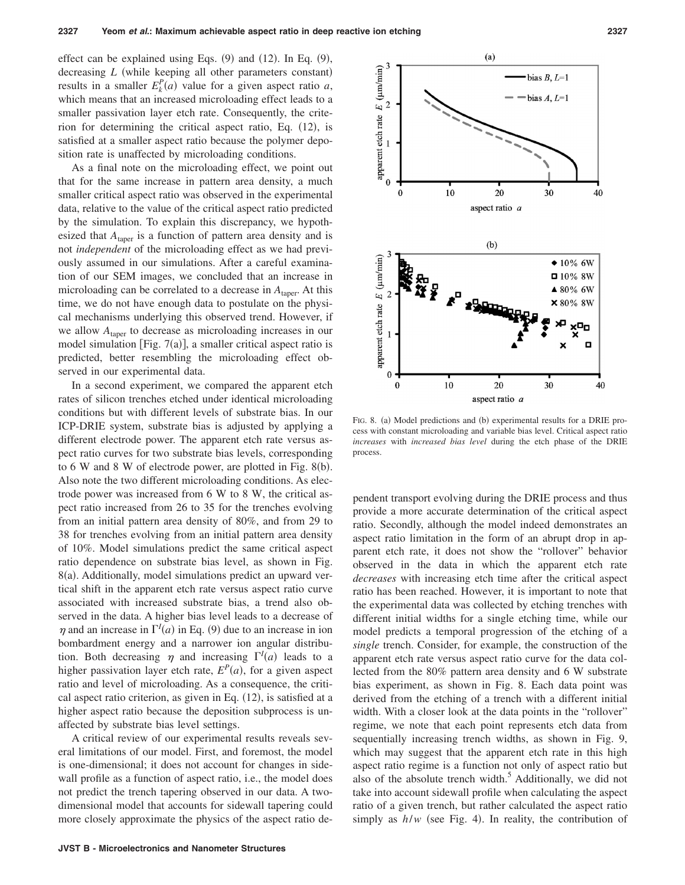effect can be explained using Eqs.  $(9)$  and  $(12)$ . In Eq.  $(9)$ , decreasing *L* (while keeping all other parameters constant) results in a smaller  $E_k^P(a)$  value for a given aspect ratio *a*, which means that an increased microloading effect leads to a smaller passivation layer etch rate. Consequently, the criterion for determining the critical aspect ratio, Eq. (12), is satisfied at a smaller aspect ratio because the polymer deposition rate is unaffected by microloading conditions.

As a final note on the microloading effect, we point out that for the same increase in pattern area density, a much smaller critical aspect ratio was observed in the experimental data, relative to the value of the critical aspect ratio predicted by the simulation. To explain this discrepancy, we hypothesized that  $A_{\text{taper}}$  is a function of pattern area density and is not *independent* of the microloading effect as we had previously assumed in our simulations. After a careful examination of our SEM images, we concluded that an increase in microloading can be correlated to a decrease in  $A_{\text{taper}}$ . At this time, we do not have enough data to postulate on the physical mechanisms underlying this observed trend. However, if we allow  $A_{\text{taper}}$  to decrease as microloading increases in our model simulation [Fig.  $7(a)$ ], a smaller critical aspect ratio is predicted, better resembling the microloading effect observed in our experimental data.

In a second experiment, we compared the apparent etch rates of silicon trenches etched under identical microloading conditions but with different levels of substrate bias. In our ICP-DRIE system, substrate bias is adjusted by applying a different electrode power. The apparent etch rate versus aspect ratio curves for two substrate bias levels, corresponding to  $6 \text{ W}$  and  $8 \text{ W}$  of electrode power, are plotted in Fig. 8(b). Also note the two different microloading conditions. As electrode power was increased from 6 W to 8 W, the critical aspect ratio increased from 26 to 35 for the trenches evolving from an initial pattern area density of 80%, and from 29 to 38 for trenches evolving from an initial pattern area density of 10%. Model simulations predict the same critical aspect ratio dependence on substrate bias level, as shown in Fig. 8(a). Additionally, model simulations predict an upward vertical shift in the apparent etch rate versus aspect ratio curve associated with increased substrate bias, a trend also observed in the data. A higher bias level leads to a decrease of  $\eta$  and an increase in  $\Gamma^I(a)$  in Eq. (9) due to an increase in ion bombardment energy and a narrower ion angular distribution. Both decreasing  $\eta$  and increasing  $\Gamma^I(a)$  leads to a higher passivation layer etch rate,  $E^P(a)$ , for a given aspect ratio and level of microloading. As a consequence, the critical aspect ratio criterion, as given in Eq. (12), is satisfied at a higher aspect ratio because the deposition subprocess is unaffected by substrate bias level settings.

A critical review of our experimental results reveals several limitations of our model. First, and foremost, the model is one-dimensional; it does not account for changes in sidewall profile as a function of aspect ratio, i.e., the model does not predict the trench tapering observed in our data. A twodimensional model that accounts for sidewall tapering could more closely approximate the physics of the aspect ratio de-



FIG. 8. (a) Model predictions and (b) experimental results for a DRIE process with constant microloading and variable bias level. Critical aspect ratio *increases* with *increased bias level* during the etch phase of the DRIE process.

pendent transport evolving during the DRIE process and thus provide a more accurate determination of the critical aspect ratio. Secondly, although the model indeed demonstrates an aspect ratio limitation in the form of an abrupt drop in apparent etch rate, it does not show the "rollover" behavior observed in the data in which the apparent etch rate *decreases* with increasing etch time after the critical aspect ratio has been reached. However, it is important to note that the experimental data was collected by etching trenches with different initial widths for a single etching time, while our model predicts a temporal progression of the etching of a *single* trench. Consider, for example, the construction of the apparent etch rate versus aspect ratio curve for the data collected from the 80% pattern area density and 6 W substrate bias experiment, as shown in Fig. 8. Each data point was derived from the etching of a trench with a different initial width. With a closer look at the data points in the "rollover" regime, we note that each point represents etch data from sequentially increasing trench widths, as shown in Fig. 9, which may suggest that the apparent etch rate in this high aspect ratio regime is a function not only of aspect ratio but also of the absolute trench width. $5$  Additionally, we did not take into account sidewall profile when calculating the aspect ratio of a given trench, but rather calculated the aspect ratio simply as  $h/w$  (see Fig. 4). In reality, the contribution of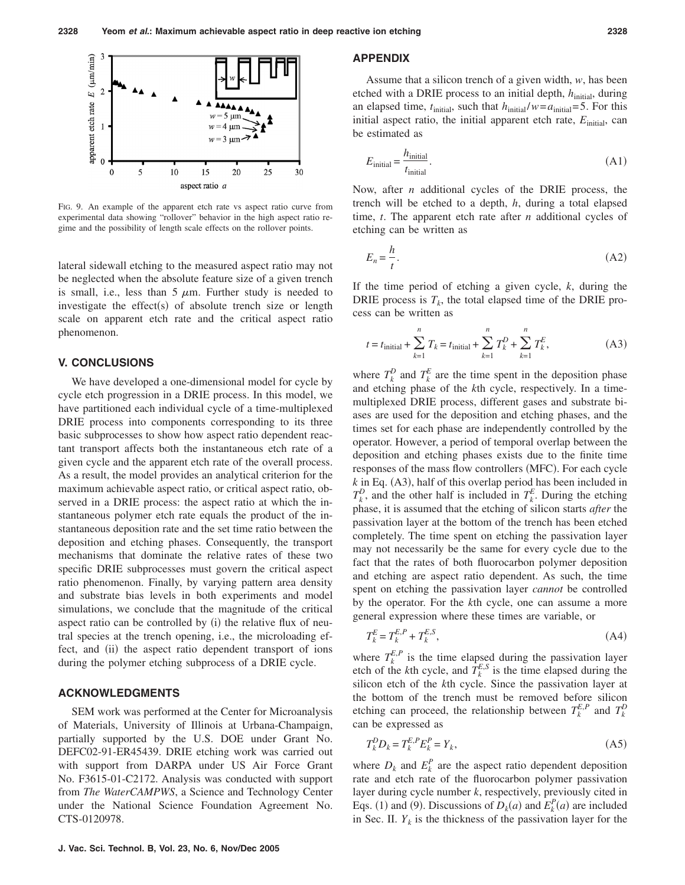

FIG. 9. An example of the apparent etch rate vs aspect ratio curve from experimental data showing "rollover" behavior in the high aspect ratio regime and the possibility of length scale effects on the rollover points.

lateral sidewall etching to the measured aspect ratio may not be neglected when the absolute feature size of a given trench is small, i.e., less than 5  $\mu$ m. Further study is needed to investigate the effect(s) of absolute trench size or length scale on apparent etch rate and the critical aspect ratio phenomenon.

### **V. CONCLUSIONS**

We have developed a one-dimensional model for cycle by cycle etch progression in a DRIE process. In this model, we have partitioned each individual cycle of a time-multiplexed DRIE process into components corresponding to its three basic subprocesses to show how aspect ratio dependent reactant transport affects both the instantaneous etch rate of a given cycle and the apparent etch rate of the overall process. As a result, the model provides an analytical criterion for the maximum achievable aspect ratio, or critical aspect ratio, observed in a DRIE process: the aspect ratio at which the instantaneous polymer etch rate equals the product of the instantaneous deposition rate and the set time ratio between the deposition and etching phases. Consequently, the transport mechanisms that dominate the relative rates of these two specific DRIE subprocesses must govern the critical aspect ratio phenomenon. Finally, by varying pattern area density and substrate bias levels in both experiments and model simulations, we conclude that the magnitude of the critical aspect ratio can be controlled by (i) the relative flux of neutral species at the trench opening, i.e., the microloading effect, and (ii) the aspect ratio dependent transport of ions during the polymer etching subprocess of a DRIE cycle.

### **ACKNOWLEDGMENTS**

SEM work was performed at the Center for Microanalysis of Materials, University of Illinois at Urbana-Champaign, partially supported by the U.S. DOE under Grant No. DEFC02-91-ER45439. DRIE etching work was carried out with support from DARPA under US Air Force Grant No. F3615-01-C2172. Analysis was conducted with support from *The WaterCAMPWS*, a Science and Technology Center under the National Science Foundation Agreement No. CTS-0120978.

### **APPENDIX**

Assume that a silicon trench of a given width, *w*, has been etched with a DRIE process to an initial depth,  $h_{initial}$ , during an elapsed time,  $t_{initial}$ , such that  $h_{initial}/w=a_{initial}=5$ . For this initial aspect ratio, the initial apparent etch rate,  $E_{initial}$ , can be estimated as

$$
E_{\text{initial}} = \frac{h_{\text{initial}}}{t_{\text{initial}}}.\tag{A1}
$$

Now, after *n* additional cycles of the DRIE process, the trench will be etched to a depth, *h*, during a total elapsed time, *t*. The apparent etch rate after *n* additional cycles of etching can be written as

$$
E_n = \frac{h}{t}.\tag{A2}
$$

If the time period of etching a given cycle, *k*, during the DRIE process is  $T_k$ , the total elapsed time of the DRIE process can be written as

$$
t = t_{\text{initial}} + \sum_{k=1}^{n} T_k = t_{\text{initial}} + \sum_{k=1}^{n} T_k^D + \sum_{k=1}^{n} T_k^E,
$$
 (A3)

where  $T_k^D$  and  $T_k^E$  are the time spent in the deposition phase and etching phase of the *k*th cycle, respectively. In a timemultiplexed DRIE process, different gases and substrate biases are used for the deposition and etching phases, and the times set for each phase are independently controlled by the operator. However, a period of temporal overlap between the deposition and etching phases exists due to the finite time responses of the mass flow controllers (MFC). For each cycle  $k$  in Eq.  $(A3)$ , half of this overlap period has been included in  $T_k^D$ , and the other half is included in  $T_k^E$ . During the etching phase, it is assumed that the etching of silicon starts *after* the passivation layer at the bottom of the trench has been etched completely. The time spent on etching the passivation layer may not necessarily be the same for every cycle due to the fact that the rates of both fluorocarbon polymer deposition and etching are aspect ratio dependent. As such, the time spent on etching the passivation layer *cannot* be controlled by the operator. For the *k*th cycle, one can assume a more general expression where these times are variable, or

$$
T_k^E = T_k^{E,P} + T_k^{E,S},\tag{A4}
$$

where  $T_k^{E,P}$  is the time elapsed during the passivation layer etch of the *k*th cycle, and  $T_k^{E,S}$  is the time elapsed during the silicon etch of the *k*th cycle. Since the passivation layer at the bottom of the trench must be removed before silicon etching can proceed, the relationship between  $T_k^{E,P}$  and  $T_k^D$ can be expressed as

$$
T_k^D D_k = T_k^{E,P} E_k^P = Y_k,\tag{A5}
$$

where  $D_k$  and  $E_k^P$  are the aspect ratio dependent deposition rate and etch rate of the fluorocarbon polymer passivation layer during cycle number *k*, respectively, previously cited in Eqs. (1) and (9). Discussions of  $D_k(a)$  and  $E_k^P(a)$  are included in Sec. II.  $Y_k$  is the thickness of the passivation layer for the